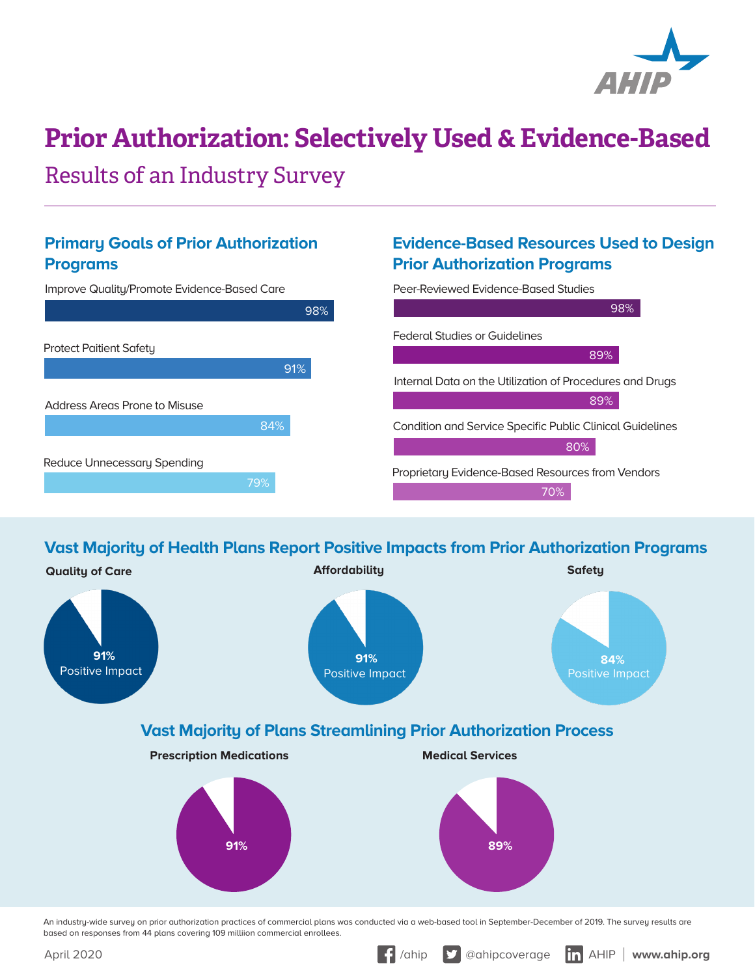

# **Prior Authorization: Selectively Used & Evidence-Based**

Results of an Industry Survey

#### **Primary Goals of Prior Authorization Programs**

### **Evidence-Based Resources Used to Design Prior Authorization Programs**



**Vast Majority of Health Plans Report Positive Impacts from Prior Authorization Programs**



An industry-wide survey on prior authorization practices of commercial plans was conducted via a web-based tool in September-December of 2019. The survey results are based on responses from 44 plans covering 109 milliion commercial enrollees.

April 2020 *April 2020 a a***hip and** *a***<b>hip and** *a a***hip and** *a***hip and** *a***hip and** *a***<b>hipsis** *a***hn** *a***hip.org**